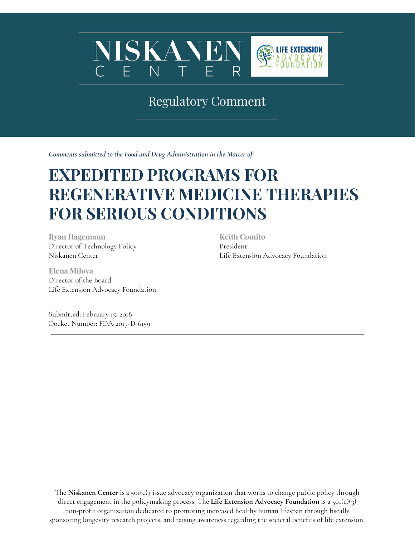

# Regulatory Comment

*Comments submitted to the Food and Drug Administration in the Matter of:*

# **EXPEDITED PROGRAMS FOR REGENERATIVE MEDICINE THERAPIES FOR SERIOUS CONDITIONS**

**Ryan Hagemann** Director of Technology Policy Niskanen Center

**Elena Milova** Director of the Board Life Extension Advocacy Foundation

Submitted: February 15, 2018 Docket Number: FDA-2017-D-6159 **Keith Comito** President Life Extension Advocacy Foundation

The **Niskanen Center** is a 501(c)3 issue advocacy organization that works to change public policy through direct engagement in the policymaking process; The **Life Extension Advocacy Foundation** is a 501(c)(3) non-profit organization dedicated to promoting increased healthy human lifespan through fiscally sponsoring longevity research projects, and raising awareness regarding the societal benefits of life extension.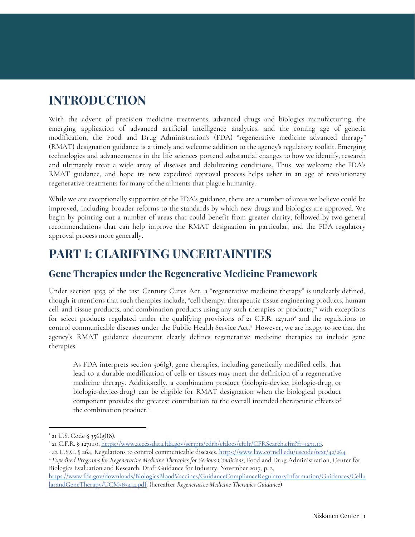### **INTRODUCTION**

With the advent of precision medicine treatments, advanced drugs and biologics manufacturing, the emerging application of advanced artificial intelligence analytics, and the coming age of genetic modification, the Food and Drug Administration's (FDA) "regenerative medicine advanced therapy" (RMAT) designation guidance is a timely and welcome addition to the agency's regulatory toolkit. Emerging technologies and advancements in the life sciences portend substantial changes to how we identify, research and ultimately treat a wide array of diseases and debilitating conditions. Thus, we welcome the FDA's RMAT guidance, and hope its new expedited approval process helps usher in an age of revolutionary regenerative treatments for many of the ailments that plague humanity.

While we are exceptionally supportive of the FDA's guidance, there are a number of areas we believe could be improved, including broader reforms to the standards by which new drugs and biologics are approved. We begin by pointing out a number of areas that could benefit from greater clarity, followed by two general recommendations that can help improve the RMAT designation in particular, and the FDA regulatory approval process more generally.

### **PART I: CLARIFYING UNCERTAINTIES**

#### **Gene Therapies under the Regenerative Medicine Framework**

Under section 3033 of the 21st Century Cures Act, a "regenerative medicine therapy" is unclearly defined, though it mentions that such therapies include, "cell therapy, therapeutic tissue engineering products, human cell and tissue products, and combination products using any such therapies or products," with exceptions 1 for select products regulated under the qualifying provisions of 21 C.F.R. 1271.10<sup>2</sup> and the regulations to control communicable diseases under the Public Health Service Act.<sup>3</sup> However, we are happy to see that the agency's RMAT guidance document clearly defines regenerative medicine therapies to include gene therapies:

As FDA interprets section  $506(g)$ , gene therapies, including genetically modified cells, that lead to a durable modification of cells or tissues may meet the definition of a regenerative medicine therapy. Additionally, a combination product (biologic-device, biologic-drug, or biologic-device-drug) can be eligible for RMAT designation when the biological product component provides the greatest contribution to the overall intended therapeutic effects of the combination product. 4

 $121$  U.S. Code § 356(g)(8).

<sup>&</sup>lt;sup>2</sup> 21 C.F.R. § 1271.10, [https://www.accessdata.fda.gov/scripts/cdrh/cfdocs/cfcfr/CFRSearch.cfm?fr=1271.10.](https://www.accessdata.fda.gov/scripts/cdrh/cfdocs/cfcfr/CFRSearch.cfm?fr=1271.10)

<sup>3</sup> 42 U.S.C. § 264, Regulations to control communicable diseases, [https://www.law.cornell.edu/uscode/text/42/264.](https://www.law.cornell.edu/uscode/text/42/264)

<sup>4</sup> *Expedited Programs for Regenerative Medicine Therapies for Serious Conditions*, Food and Drug Administration, Center for Biologics Evaluation and Research, Draft Guidance for Industry, November 2017, p. 2, [https://www.fda.gov/downloads/BiologicsBloodVaccines/GuidanceComplianceRegulatoryInformation/Guidances/Cellu](https://www.fda.gov/downloads/BiologicsBloodVaccines/GuidanceComplianceRegulatoryInformation/Guidances/CellularandGeneTherapy/UCM585414.pdf) [larandGeneTherapy/UCM585414.pdf](https://www.fda.gov/downloads/BiologicsBloodVaccines/GuidanceComplianceRegulatoryInformation/Guidances/CellularandGeneTherapy/UCM585414.pdf). (hereafter *Regenerative Medicine Therapies Guidance*)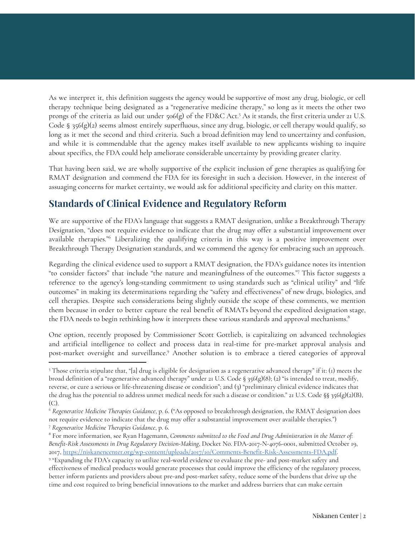As we interpret it, this definition suggests the agency would be supportive of most any drug, biologic, or cell therapy technique being designated as a "regenerative medicine therapy," so long as it meets the other two prongs of the criteria as laid out under 506(g) of the FD&C Act.<sup>5</sup> As it stands, the first criteria under 21 U.S. Code §  $356(g)(2)$  seems almost entirely superfluous, since any drug, biologic, or cell therapy would qualify, so long as it met the second and third criteria. Such a broad definition may lend to uncertainty and confusion, and while it is commendable that the agency makes itself available to new applicants wishing to inquire about specifics, the FDA could help ameliorate considerable uncertainty by providing greater clarity.

That having been said, we are wholly supportive of the explicit inclusion of gene therapies as qualifying for RMAT designation and commend the FDA for its foresight in such a decision. However, in the interest of assuaging concerns for market certainty, we would ask for additional specificity and clarity on this matter.

### **Standards of Clinical Evidence and Regulatory Reform**

We are supportive of the FDA's language that suggests a RMAT designation, unlike a Breakthrough Therapy Designation, "does not require evidence to indicate that the drug may offer a substantial improvement over available therapies."<sup>6</sup> Liberalizing the qualifying criteria in this way is a positive improvement over Breakthrough Therapy Designation standards, and we commend the agency for embracing such an approach.

Regarding the clinical evidence used to support a RMAT designation, the FDA's guidance notes its intention "to consider factors" that include "the nature and meaningfulness of the outcomes." This factor suggests a 7 reference to the agency's long-standing commitment to using standards such as "clinical utility" and "life outcomes" in making its determinations regarding the "safety and effectiveness" of new drugs, biologics, and cell therapies. Despite such considerations being slightly outside the scope of these comments, we mention them because in order to better capture the real benefit of RMATs beyond the expedited designation stage, the FDA needs to begin rethinking how it interprets these various standards and approval mechanisms. 8

One option, recently proposed by Commissioner Scott Gottlieb, is capitalizing on advanced technologies and artificial intelligence to collect and process data in real-time for pre-market approval analysis and post-market oversight and surveillance.<sup>9</sup> Another solution is to embrace a tiered categories of approval

<sup>5</sup> Those criteria stipulate that, "[a] drug is eligible for designation as a regenerative advanced therapy" if it: (1) meets the broad definition of a "regenerative advanced therapy" under 21 U.S. Code § 356(g)(8); (2) "is intended to treat, modify, reverse, or cure a serious or life-threatening disease or condition"; and (3) "preliminary clinical evidence indicates that the drug has the potential to address unmet medical needs for such a disease or condition." 21 U.S. Code §§ 356(g)(2)(B), (C).

<sup>6</sup> *Regenerative Medicine Therapies Guidance*, p. 6. ("As opposed to breakthrough designation, the RMAT designation does not require evidence to indicate that the drug may offer a substantial improvement over available therapies.")

<sup>7</sup> *Regenerative Medicine Therapies Guidance*, p. 6.

<sup>8</sup> For more information, see Ryan Hagemann, *Comments submitted to the Food and Drug Administration in the Matter of: Benefit-Risk Assessments in Drug Regulatory Decision-Making*, Docket No. FDA-2017-N-4076-0001, submitted October 19, 2017, [https://niskanencenter.org/wp-content/uploads/2017/10/Comments-Benefit-Risk-Assessments-FDA.pdf.](https://niskanencenter.org/wp-content/uploads/2017/10/Comments-Benefit-Risk-Assessments-FDA.pdf)

<sup>9</sup> "Expanding the FDA's capacity to utilize real-world evidence to evaluate the pre- and post-market safety and effectiveness of medical products would generate processes that could improve the efficiency of the regulatory process, better inform patients and providers about pre-and post-market safety, reduce some of the burdens that drive up the time and cost required to bring beneficial innovations to the market and address barriers that can make certain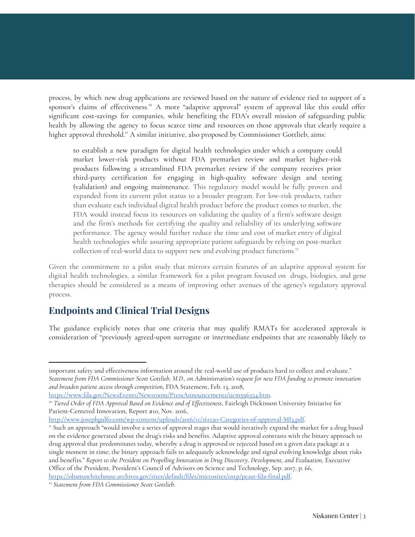process, by which new drug applications are reviewed based on the nature of evidence tied to support of a sponsor's claims of effectiveness.<sup>10</sup> A more "adaptive approval" system of approval like this could offer significant cost-savings for companies, while benefiting the FDA's overall mission of safeguarding public health by allowing the agency to focus scarce time and resources on those approvals that clearly require a higher approval threshold.<sup>11</sup> A similar initiative, also proposed by Commissioner Gottlieb, aims:

to establish a new paradigm for digital health technologies under which a company could market lower-risk products without FDA premarket review and market higher-risk products following a streamlined FDA premarket review if the company receives prior third-party certification for engaging in high-quality software design and testing (validation) and ongoing maintenance. This regulatory model would be fully proven and expanded from its current pilot status to a broader program. For low-risk products, rather than evaluate each individual digital health product before the product comes to market, the FDA would instead focus its resources on validating the quality of a firm's software design and the firm's methods for certifying the quality and reliability of its underlying software performance. The agency would further reduce the time and cost of market entry of digital health technologies while assuring appropriate patient safeguards by relying on post-market collection of real-world data to support new and evolving product functions.<sup>12</sup>

Given the commitment to a pilot study that mirrors certain features of an adaptive approval system for digital health technologies, a similar framework for a pilot program focused on drugs, biologics, and gene therapies should be considered as a means of improving other avenues of the agency's regulatory approval process.

### **Endpoints and Clinical Trial Designs**

The guidance explicitly notes that one criteria that may qualify RMATs for accelerated approvals is consideration of "previously agreed-upon surrogate or intermediate endpoints that are reasonably likely to

[https://www.fda.gov/NewsEvents/Newsroom/PressAnnouncements/ucm596554.htm.](https://www.fda.gov/NewsEvents/Newsroom/PressAnnouncements/ucm596554.htm)

<http://www.josephgulfo.com/wp-content/uploads/2016/11/161120-Categories-of-approval-MI3.pdf>.

important safety and effectiveness information around the real-world use of products hard to collect and evaluate." Statement from FDA Commissioner Scott Gottlieb, M.D., on Administration's request for new FDA funding to promote innovation *and broaden patient access through competition*, FDA Statement, Feb. 13, 2018,

<sup>10</sup> *Tiered Order of FDA Approval Based on Evidence and of Effectiveness*, Fairleigh Dickinson University Initiative for Patient-Centered Innovation, Report #10, Nov. 2016,

<sup>11</sup> Such an approach "would involve a series of approval stages that would iteratively expand the market for a drug based on the evidence generated about the drug's risks and benefits. Adaptive approval contrasts with the binary approach to drug approval that predominates today, whereby a drug is approved or rejected based on a given data package at a single moment in time; the binary approach fails to adequately acknowledge and signal evolving knowledge about risks and benefits." *Report to the President on Propelling Innovation in Drug Discovery, Development, and Evaluation,* Executive Office of the President, President's Council of Advisors on Science and Technology, Sep. 2017, p. 66, [https://obamawhitehouse.archives.gov/sites/default/files/microsites/ostp/pcast-fda-final.pdf.](https://obamawhitehouse.archives.gov/sites/default/files/microsites/ostp/pcast-fda-final.pdf)

<sup>12</sup> *Statement from FDA Commissioner Scott Gottlieb*.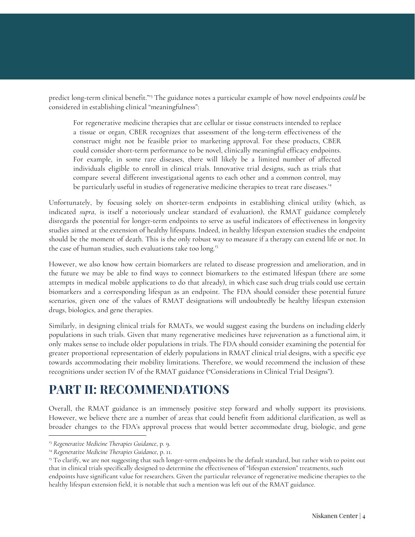predict long-term clinical benefit."<sup>13</sup> The guidance notes a particular example of how novel endpoints *could* be considered in establishing clinical "meaningfulness":

For regenerative medicine therapies that are cellular or tissue constructs intended to replace a tissue or organ, CBER recognizes that assessment of the long-term effectiveness of the construct might not be feasible prior to marketing approval. For these products, CBER could consider short-term performance to be novel, clinically meaningful efficacy endpoints. For example, in some rare diseases, there will likely be a limited number of affected individuals eligible to enroll in clinical trials. Innovative trial designs, such as trials that compare several different investigational agents to each other and a common control, may be particularly useful in studies of regenerative medicine therapies to treat rare diseases. 14

Unfortunately, by focusing solely on shorter-term endpoints in establishing clinical utility (which, as indicated *supra*, is itself a notoriously unclear standard of evaluation), the RMAT guidance completely disregards the potential for longer-term endpoints to serve as useful indicators of effectiveness in longevity studies aimed at the extension of healthy lifespans. Indeed, in healthy lifespan extension studies the endpoint should be the moment of death. This is the only robust way to measure if a therapy can extend life or not. In the case of human studies, such evaluations take too long.<sup>15</sup>

However, we also know how certain biomarkers are related to disease progression and amelioration, and in the future we may be able to find ways to connect biomarkers to the estimated lifespan (there are some attempts in medical mobile applications to do that already), in which case such drug trials could use certain biomarkers and a corresponding lifespan as an endpoint. The FDA should consider these potential future scenarios, given one of the values of RMAT designations will undoubtedly be healthy lifespan extension drugs, biologics, and gene therapies.

Similarly, in designing clinical trials for RMATs, we would suggest easing the burdens on including elderly populations in such trials. Given that many regenerative medicines have rejuvenation as a functional aim, it only makes sense to include older populations in trials. The FDA should consider examining the potential for greater proportional representation of elderly populations in RMAT clinical trial designs, with a specific eye towards accommodating their mobility limitations. Therefore, we would recommend the inclusion of these recognitions under section IV of the RMAT guidance ("Considerations in Clinical Trial Designs").

### **PART II: RECOMMENDATIONS**

Overall, the RMAT guidance is an immensely positive step forward and wholly support its provisions. However, we believe there are a number of areas that could benefit from additional clarification, as well as broader changes to the FDA's approval process that would better accommodate drug, biologic, and gene

<sup>13</sup> *Regenerative Medicine Therapies Guidance*, p. 9.

<sup>14</sup> *Regenerative Medicine Therapies Guidance*, p. 11.

<sup>&</sup>lt;sup>15</sup> To clarify, we are not suggesting that such longer-term endpoints be the default standard, but rather wish to point out that in clinical trials specifically designed to determine the effectiveness of "lifespan extension" treatments, such endpoints have significant value for researchers. Given the particular relevance of regenerative medicine therapies to the healthy lifespan extension field, it is notable that such a mention was left out of the RMAT guidance.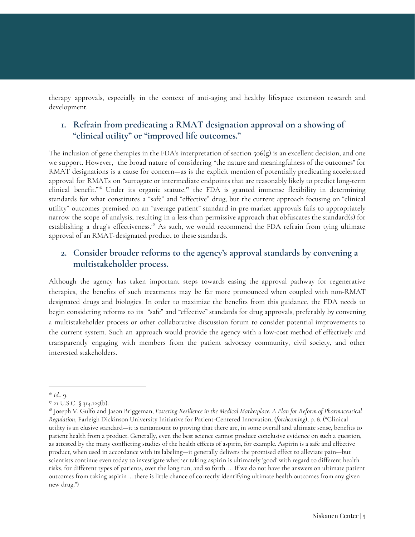therapy approvals, especially in the context of anti-aging and healthy lifespace extension research and development.

#### **1. Refrain from predicating a RMAT designation approval on a showing of "clinical utility" or "improved life outcomes."**

The inclusion of gene therapies in the FDA's interpretation of section 506(g) is an excellent decision, and one we support. However, the broad nature of considering "the nature and meaningfulness of the outcomes" for RMAT designations is a cause for concern—as is the explicit mention of potentially predicating accelerated approval for RMATs on "surrogate or intermediate endpoints that are reasonably likely to predict long-term clinical benefit."<sup>16</sup> Under its organic statute,<sup>17</sup> the FDA is granted immense flexibility in determining standards for what constitutes a "safe" and "effective" drug, but the current approach focusing on "clinical utility" outcomes premised on an "average patient" standard in pre-market approvals fails to appropriately narrow the scope of analysis, resulting in a less-than permissive approach that obfuscates the standard(s) for establishing a drug's effectiveness.<sup>18</sup> As such, we would recommend the FDA refrain from tying ultimate approval of an RMAT-designated product to these standards.

#### **2. Consider broader reforms to the agency's approval standards by convening a multistakeholder process.**

Although the agency has taken important steps towards easing the approval pathway for regenerative therapies, the benefits of such treatments may be far more pronounced when coupled with non-RMAT designated drugs and biologics. In order to maximize the benefits from this guidance, the FDA needs to begin considering reforms to its "safe" and "effective" standards for drug approvals, preferably by convening a multistakeholder process or other collaborative discussion forum to consider potential improvements to the current system. Such an approach would provide the agency with a low-cost method of effectively and transparently engaging with members from the patient advocacy community, civil society, and other interested stakeholders.

<sup>16</sup> *Id*., 9.

<sup>&</sup>lt;sup>17</sup> 21 U.S.C. § 314.125(b).

<sup>18</sup> Joseph V. Gulfo and Jason Briggeman, *Fostering Resilience in the Medical Marketplace: A Plan for Reform of Pharmaceutical Regulation*, Farleigh Dickinson University Initiative for Patient-Centered Innovation, (*forthcoming*), p. 8. ("Clinical utility is an elusive standard—it is tantamount to proving that there are, in some overall and ultimate sense, benefits to patient health from a product. Generally, even the best science cannot produce conclusive evidence on such a question, as attested by the many conflicting studies of the health effects of aspirin, for example. Aspirin is a safe and effective product, when used in accordance with its labeling—it generally delivers the promised effect to alleviate pain—but scientists continue even today to investigate whether taking aspirin is ultimately 'good' with regard to different health risks, for different types of patients, over the long run, and so forth. … If we do not have the answers on ultimate patient outcomes from taking aspirin … there is little chance of correctly identifying ultimate health outcomes from any given new drug.")